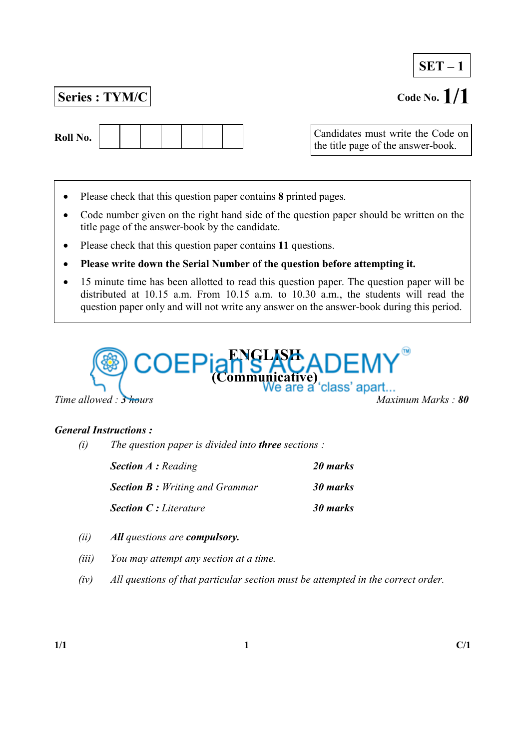## $SET - 1$

# Code No.  $1/1$

### Series : TYM/C

| Roll No. |  |  |  |  |  |  |  |  |
|----------|--|--|--|--|--|--|--|--|
|----------|--|--|--|--|--|--|--|--|

Candidates must write the Code on the title page of the answer-book.

 $\overline{a}$ 

- Please check that this question paper contains 8 printed pages.
- Code number given on the right hand side of the question paper should be written on the title page of the answer-book by the candidate.
- Please check that this question paper contains 11 questions.
- Please write down the Serial Number of the question before attempting it.
- 15 minute time has been allotted to read this question paper. The question paper will be distributed at 10.15 a.m. From 10.15 a.m. to 10.30 a.m., the students will read the question paper only and will not write any answer on the answer-book during this period.



Time allowed : 3 hours and 3 hours and 3 hours and 3 hours and 4 hours and 4 hours Maximum Marks : 80

### General Instructions :

(i) The question paper is divided into **three** sections :

| <b>Section A</b> : Reading            | 20 marks |
|---------------------------------------|----------|
| <b>Section B:</b> Writing and Grammar | 30 marks |
| <b>Section C</b> : Literature         | 30 marks |

- (ii) All questions are compulsory.
- (iii) You may attempt any section at a time.
- (iv) All questions of that particular section must be attempted in the correct order.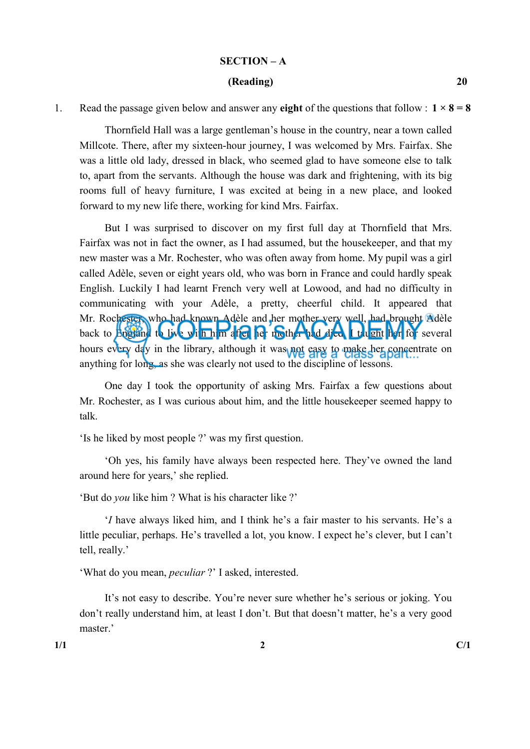#### SECTION – A

#### (Reading) 20

1. Read the passage given below and answer any eight of the questions that follow :  $1 \times 8 = 8$ 

 Thornfield Hall was a large gentleman's house in the country, near a town called Millcote. There, after my sixteen-hour journey, I was welcomed by Mrs. Fairfax. She was a little old lady, dressed in black, who seemed glad to have someone else to talk to, apart from the servants. Although the house was dark and frightening, with its big rooms full of heavy furniture, I was excited at being in a new place, and looked forward to my new life there, working for kind Mrs. Fairfax.

 But I was surprised to discover on my first full day at Thornfield that Mrs. Fairfax was not in fact the owner, as I had assumed, but the housekeeper, and that my new master was a Mr. Rochester, who was often away from home. My pupil was a girl called Adèle, seven or eight years old, who was born in France and could hardly speak English. Luckily I had learnt French very well at Lowood, and had no difficulty in communicating with your Adèle, a pretty, cheerful child. It appeared that Mr. Rochester, who had known Adèle and her mother very well, had brought Adèle back to England to live with him after her mother had died. I taught her for several hours every day in the library, although it was not easy to make her concentrate on anything for long, as she was clearly not used to the discipline of lessons.

 One day I took the opportunity of asking Mrs. Fairfax a few questions about Mr. Rochester, as I was curious about him, and the little housekeeper seemed happy to talk.

'Is he liked by most people ?' was my first question.

 'Oh yes, his family have always been respected here. They've owned the land around here for years,' she replied.

'But do you like him ? What is his character like ?'

 'I have always liked him, and I think he's a fair master to his servants. He's a little peculiar, perhaps. He's travelled a lot, you know. I expect he's clever, but I can't tell, really.'

'What do you mean, peculiar ?' I asked, interested.

 It's not easy to describe. You're never sure whether he's serious or joking. You don't really understand him, at least I don't. But that doesn't matter, he's a very good master.'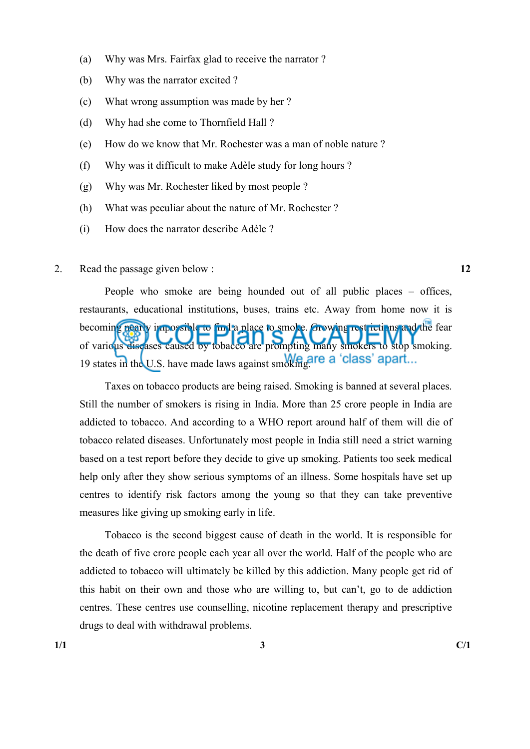- (a) Why was Mrs. Fairfax glad to receive the narrator ?
- (b) Why was the narrator excited ?
- (c) What wrong assumption was made by her ?
- (d) Why had she come to Thornfield Hall ?
- (e) How do we know that Mr. Rochester was a man of noble nature ?
- (f) Why was it difficult to make Adèle study for long hours ?
- (g) Why was Mr. Rochester liked by most people ?
- (h) What was peculiar about the nature of Mr. Rochester ?
- (i) How does the narrator describe Adèle ?
- 2. Read the passage given below : 12

 People who smoke are being hounded out of all public places – offices, restaurants, educational institutions, buses, trains etc. Away from home now it is becoming nearly impossible to find a place to smoke. Growing restrictions and the fear of various diseases caused by tobacco are prompting many smokers to stop smoking. 19 states in the U.S. have made laws against smoking. The a' class' apart...

 Taxes on tobacco products are being raised. Smoking is banned at several places. Still the number of smokers is rising in India. More than 25 crore people in India are addicted to tobacco. And according to a WHO report around half of them will die of tobacco related diseases. Unfortunately most people in India still need a strict warning based on a test report before they decide to give up smoking. Patients too seek medical help only after they show serious symptoms of an illness. Some hospitals have set up centres to identify risk factors among the young so that they can take preventive measures like giving up smoking early in life.

 Tobacco is the second biggest cause of death in the world. It is responsible for the death of five crore people each year all over the world. Half of the people who are addicted to tobacco will ultimately be killed by this addiction. Many people get rid of this habit on their own and those who are willing to, but can't, go to de addiction centres. These centres use counselling, nicotine replacement therapy and prescriptive drugs to deal with withdrawal problems.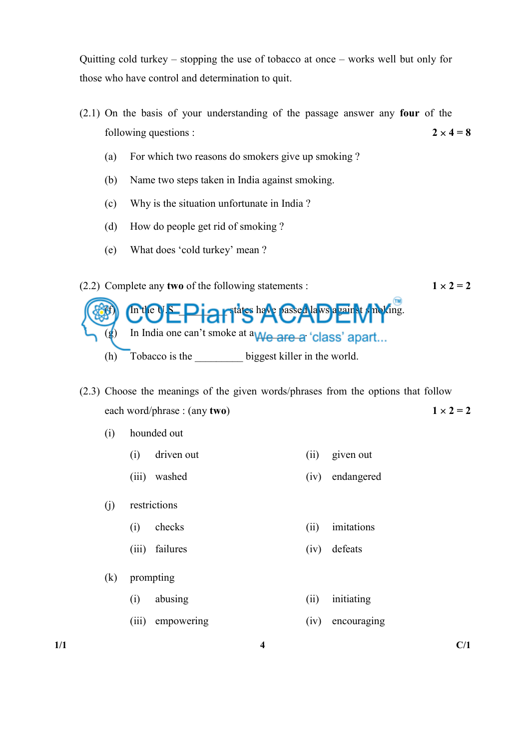Quitting cold turkey – stopping the use of tobacco at once – works well but only for those who have control and determination to quit.

- (2.1) On the basis of your understanding of the passage answer any four of the following questions :  $2 \times 4 = 8$ 
	- (a) For which two reasons do smokers give up smoking ?
	- (b) Name two steps taken in India against smoking.
	- (c) Why is the situation unfortunate in India ?
	- (d) How do people get rid of smoking ?
	- (e) What does 'cold turkey' mean ?

(2.2) Complete any two of the following statements :  $1 \times 2 = 2$ 

In the U.S. Dig rates have passed laws against smoking. (g) In India one can't smoke at  $a$  **We are a 'class' apart...** (h) Tobacco is the biggest killer in the world.

- (2.3) Choose the meanings of the given words/phrases from the options that follow each word/phrase : (any two)  $1 \times 2 = 2$ 
	- (i) hounded out
		- (i) driven out (ii) given out
		- (iii) washed (iv) endangered
	- (j) restrictions
		- (i) checks (ii) imitations
		- (iii) failures (iv) defeats
	- (k) prompting
		- (i) abusing (ii) initiating
		- (iii) empowering (iv) encouraging
			-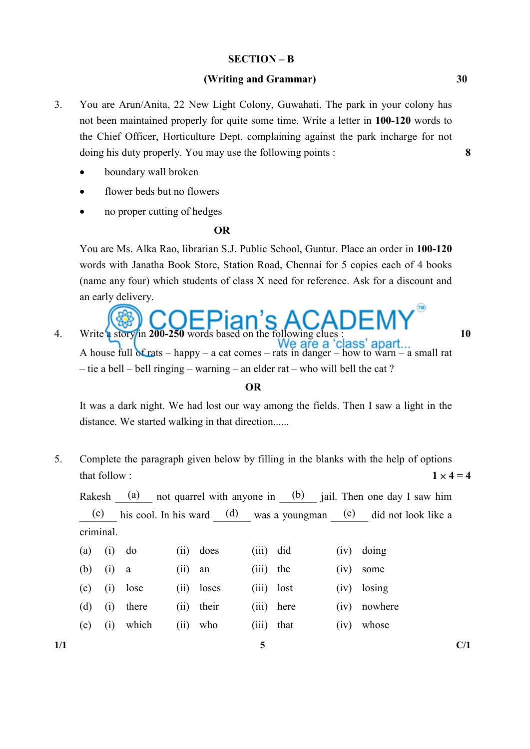#### SECTION – B

#### (Writing and Grammar) 30

- 3. You are Arun/Anita, 22 New Light Colony, Guwahati. The park in your colony has not been maintained properly for quite some time. Write a letter in 100-120 words to the Chief Officer, Horticulture Dept. complaining against the park incharge for not doing his duty properly. You may use the following points : 8
	- boundary wall broken
	- flower beds but no flowers
	- no proper cutting of hedges

#### OR

 You are Ms. Alka Rao, librarian S.J. Public School, Guntur. Place an order in 100-120 words with Janatha Book Store, Station Road, Chennai for 5 copies each of 4 books (name any four) which students of class X need for reference. Ask for a discount and an early delivery.

4. Write a story in 200-250 words based on the following clues : 10 A house full of rats – happy – a cat comes – rats in danger – how to warn – a small rat – tie a bell – bell ringing – warning – an elder rat – who will bell the cat ?

OR

 It was a dark night. We had lost our way among the fields. Then I saw a light in the distance. We started walking in that direction......

5. Complete the paragraph given below by filling in the blanks with the help of options that follow :  $1 \times 4 = 4$ 

Rakesh  $(a)$  not quarrel with anyone in  $(b)$  jail. Then one day I saw him  $(c)$  his cool. In his ward  $(d)$  was a youngman  $(e)$  did not look like a criminal. (a) (i) do (ii) does (iii) did (iv) doing (b) (i) a (ii) an (iii) the (iv) some (c) (i) lose (ii) loses (iii) lost (iv) losing

- (d) (i) there (ii) their (iii) here (iv) nowhere
- (e) (i) which (ii) who (iii) that (iv) whose

 $1/1$  C/1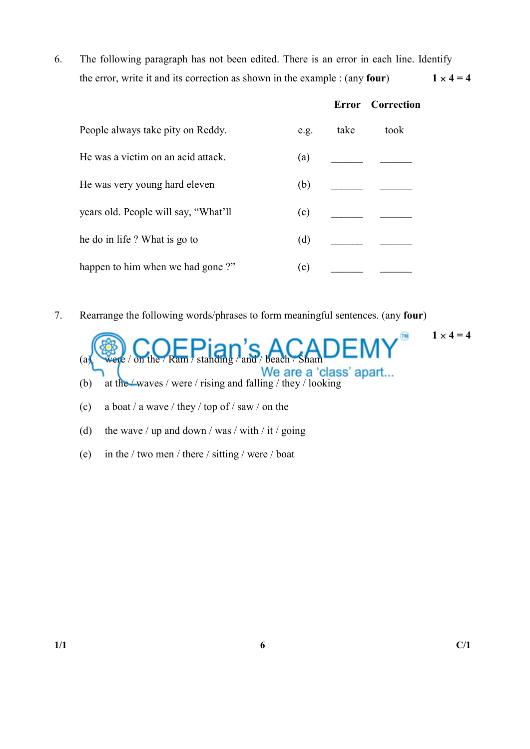6. The following paragraph has not been edited. There is an error in each line. Identify the error, write it and its correction as shown in the example : (any four)  $1 \times 4 = 4$ 

|                                      |      |      | Error Correction |
|--------------------------------------|------|------|------------------|
| People always take pity on Reddy.    | e.g. | take | took             |
| He was a victim on an acid attack.   | (a)  |      |                  |
| He was very young hard eleven        | (b)  |      |                  |
| years old. People will say, "What'll | (c)  |      |                  |
| he do in life? What is go to         | (d)  |      |                  |
| happen to him when we had gone?"     | (e)  |      |                  |

7. Rearrange the following words/phrases to form meaningful sentences. (any four)



- (b) at the  $\angle$  waves / were / rising and falling / they / looking
- (c) a boat / a wave / they / top of / saw / on the
- (d) the wave / up and down / was / with / it / going
- (e) in the / two men / there / sitting / were / boat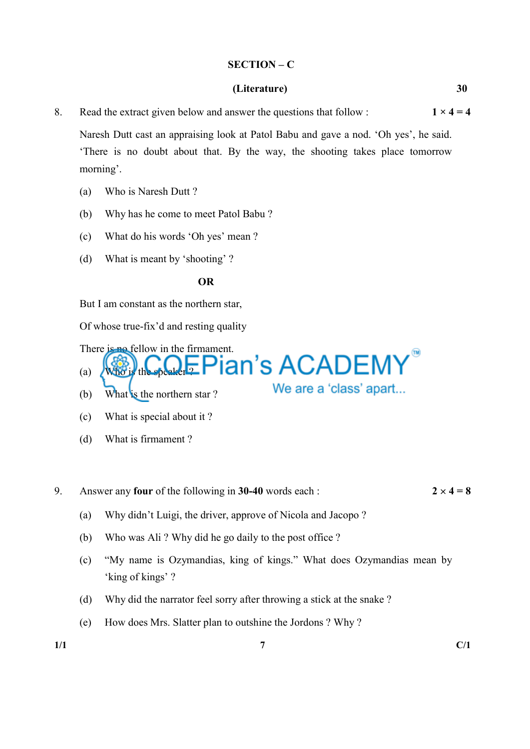#### SECTION – C

#### (Literature) 30

8. Read the extract given below and answer the questions that follow :  $1 \times 4 = 4$ 

 Naresh Dutt cast an appraising look at Patol Babu and gave a nod. 'Oh yes', he said. 'There is no doubt about that. By the way, the shooting takes place tomorrow morning'.

- (a) Who is Naresh Dutt ?
- (b) Why has he come to meet Patol Babu ?
- (c) What do his words 'Oh yes' mean ?
- (d) What is meant by 'shooting' ?

#### OR

But I am constant as the northern star,

Of whose true-fix'd and resting quality

- There is no fellow in the firmament.<br>(a)  $\left(\begin{matrix} 1 & 0 \\ 0 & 0 \end{matrix}\right)$  the speaker  $\mathbb{P}$  Pian's ACADEMY (a) Who is the speaker ? We are a 'class' apart...
- (b) What is the northern star?
- (c) What is special about it ?
- (d) What is firmament ?

#### 9. Answer any four of the following in 30-40 words each :  $2 \times 4 = 8$

- 
- (a) Why didn't Luigi, the driver, approve of Nicola and Jacopo ?
- (b) Who was Ali ? Why did he go daily to the post office ?
- (c) "My name is Ozymandias, king of kings." What does Ozymandias mean by 'king of kings' ?
- (d) Why did the narrator feel sorry after throwing a stick at the snake ?
- (e) How does Mrs. Slatter plan to outshine the Jordons ? Why ?
-